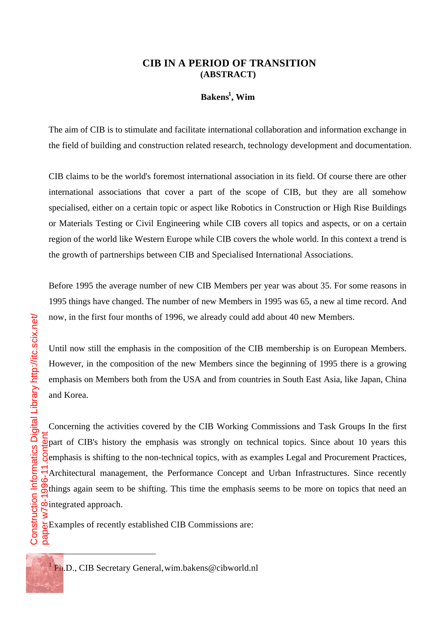## **CIB IN A PERIOD OF TRANSITION (ABSTRACT)**

## **Bakens<sup>1</sup> , Wim**

The aim of CIB is to stimulate and facilitate international collaboration and information exchange in the field of building and construction related research, technology development and documentation.

CIB claims to be the world's foremost international association in its field. Of course there are other international associations that cover a part of the scope of CIB, but they are all somehow specialised, either on a certain topic or aspect like Robotics in Construction or High Rise Buildings or Materials Testing or Civil Engineering while CIB covers all topics and aspects, or on a certain region of the world like Western Europe while CIB covers the whole world. In this context a trend is the growth of partnerships between CIB and Specialised International Associations.

Before 1995 the average number of new CIB Members per year was about 35. For some reasons in 1995 things have changed. The number of new Members in 1995 was 65, a new al time record. And now, in the first four months of 1996, we already could add about 40 new Members.

Until now still the emphasis in the composition of the CIB membership is on European Members. However, in the composition of the new Members since the beginning of 1995 there is a growing emphasis on Members both from the USA and from countries in South East Asia, like Japan, China and Korea.

Concerning the activities covered by the CIB Working Commissions and Task Groups In the first  $\frac{p}{p}$  part of CIB's history the emphasis was strongly on technical topics. Since about 10 years this  $\frac{1}{2}$ emphasis is shifting to the non-technical topics, with as examples Legal and Procurement Practices, Architectural management, the Performance Concept and Urban Infrastructures. Since recently  $\mathcal{R}_{\text{things}}$  again seem to be shifting. This time the emphasis seems to be more on topics that need an **p**integrated approach.

 $\overline{\phi}$ Examples of recently established CIB Commissions are: व्ह

į

<sup>&</sup>lt;sup>1</sup> Ph.D., CIB Secretary General, wim.bakens@cibworld.nl